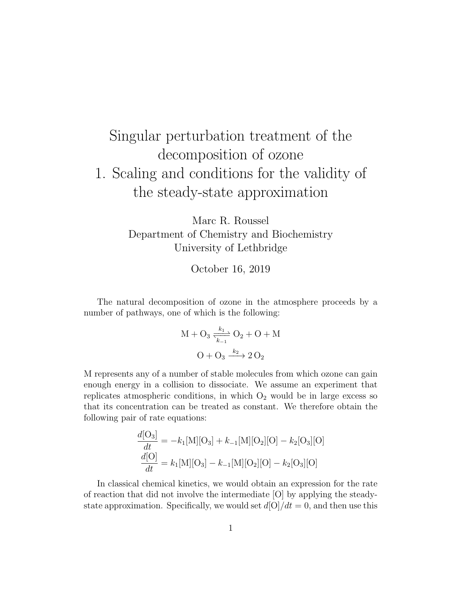## Singular perturbation treatment of the decomposition of ozone 1. Scaling and conditions for the validity of the steady-state approximation

Marc R. Roussel Department of Chemistry and Biochemistry University of Lethbridge

October 16, 2019

The natural decomposition of ozone in the atmosphere proceeds by a number of pathways, one of which is the following:

$$
M + O_3 \xrightarrow[k_{-1}]{k_1} O_2 + O + M
$$

$$
O + O_3 \xrightarrow{k_2} 2 O_2
$$

M represents any of a number of stable molecules from which ozone can gain enough energy in a collision to dissociate. We assume an experiment that replicates atmospheric conditions, in which  $O_2$  would be in large excess so that its concentration can be treated as constant. We therefore obtain the following pair of rate equations:

$$
\frac{d[O_3]}{dt} = -k_1[M][O_3] + k_{-1}[M][O_2][O] - k_2[O_3][O]
$$

$$
\frac{d[O]}{dt} = k_1[M][O_3] - k_{-1}[M][O_2][O] - k_2[O_3][O]
$$

In classical chemical kinetics, we would obtain an expression for the rate of reaction that did not involve the intermediate [O] by applying the steadystate approximation. Specifically, we would set  $d[O]/dt = 0$ , and then use this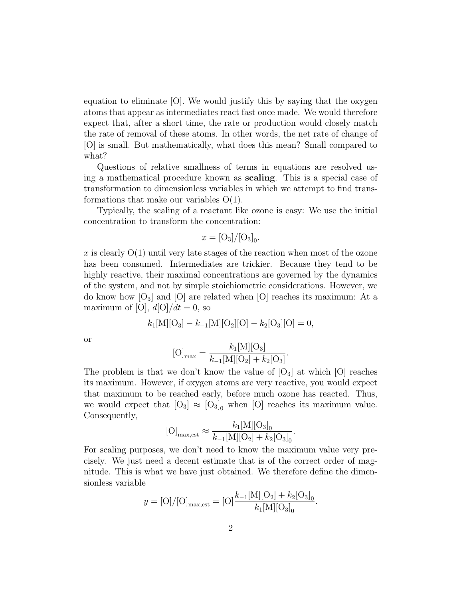equation to eliminate [O]. We would justify this by saying that the oxygen atoms that appear as intermediates react fast once made. We would therefore expect that, after a short time, the rate or production would closely match the rate of removal of these atoms. In other words, the net rate of change of [O] is small. But mathematically, what does this mean? Small compared to what?

Questions of relative smallness of terms in equations are resolved using a mathematical procedure known as scaling. This is a special case of transformation to dimensionless variables in which we attempt to find transformations that make our variables  $O(1)$ .

Typically, the scaling of a reactant like ozone is easy: We use the initial concentration to transform the concentration:

$$
x = [O_3]/[O_3]_0.
$$

x is clearly  $O(1)$  until very late stages of the reaction when most of the ozone has been consumed. Intermediates are trickier. Because they tend to be highly reactive, their maximal concentrations are governed by the dynamics of the system, and not by simple stoichiometric considerations. However, we do know how  $[O_3]$  and  $[O]$  are related when  $[O]$  reaches its maximum: At a maximum of [O],  $d[O]/dt = 0$ , so

$$
k_1[\mathbf{M}][\mathbf{O}_3] - k_{-1}[\mathbf{M}][\mathbf{O}_2][\mathbf{O}] - k_2[\mathbf{O}_3][\mathbf{O}] = 0,
$$

or

$$
[O]_{\max} = \frac{k_1[M][O_3]}{k_{-1}[M][O_2] + k_2[O_3]}.
$$

The problem is that we don't know the value of  $\lbrack \text{O}_3 \rbrack$  at which  $\lbrack \text{O} \rbrack$  reaches its maximum. However, if oxygen atoms are very reactive, you would expect that maximum to be reached early, before much ozone has reacted. Thus, we would expect that  $[O_3] \approx [O_3]_0$  when  $[O]$  reaches its maximum value. Consequently,

$$
[O]_{\text{max,est}} \approx \frac{k_1 [M][O_3]_0}{k_{-1}[M][O_2] + k_2 [O_3]_0}.
$$

For scaling purposes, we don't need to know the maximum value very precisely. We just need a decent estimate that is of the correct order of magnitude. This is what we have just obtained. We therefore define the dimensionless variable

$$
y = [O]/[O]_{\text{max,est}} = [O]\frac{k_{-1}[M][O_2] + k_2[O_3]_0}{k_1[M][O_3]_0}.
$$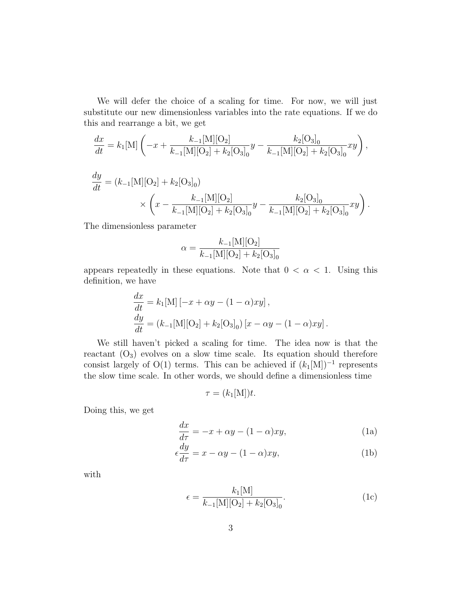We will defer the choice of a scaling for time. For now, we will just substitute our new dimensionless variables into the rate equations. If we do this and rearrange a bit, we get

$$
\frac{dx}{dt} = k_1[\mathbf{M}] \left( -x + \frac{k_{-1}[\mathbf{M}][\mathbf{O}_2]}{k_{-1}[\mathbf{M}][\mathbf{O}_2] + k_2[\mathbf{O}_3]_0} y - \frac{k_2[\mathbf{O}_3]_0}{k_{-1}[\mathbf{M}][\mathbf{O}_2] + k_2[\mathbf{O}_3]_0} xy \right),
$$

$$
\frac{dy}{dt} = (k_{-1}[M][O_2] + k_2[O_3]_0)
$$
  
 
$$
\times \left(x - \frac{k_{-1}[M][O_2]}{k_{-1}[M][O_2] + k_2[O_3]_0}y - \frac{k_2[O_3]_0}{k_{-1}[M][O_2] + k_2[O_3]_0}xy\right).
$$

The dimensionless parameter

$$
\alpha = \frac{k_{-1}[M][O_2]}{k_{-1}[M][O_2] + k_2[O_3]_0}
$$

appears repeatedly in these equations. Note that  $0 < \alpha < 1$ . Using this definition, we have

$$
\frac{dx}{dt} = k_1[\mathbf{M}] [-x + \alpha y - (1 - \alpha)xy], \n\frac{dy}{dt} = (k_{-1}[\mathbf{M}] [\mathbf{O}_2] + k_2[\mathbf{O}_3]_0) [x - \alpha y - (1 - \alpha)xy].
$$

We still haven't picked a scaling for time. The idea now is that the reactant  $(O_3)$  evolves on a slow time scale. Its equation should therefore consist largely of O(1) terms. This can be achieved if  $(k_1[M])^{-1}$  represents the slow time scale. In other words, we should define a dimensionless time

 $\tau = (k_1[\text{M}])t.$ 

Doing this, we get

$$
\frac{dx}{d\tau} = -x + \alpha y - (1 - \alpha)xy,\tag{1a}
$$

$$
\epsilon \frac{dy}{d\tau} = x - \alpha y - (1 - \alpha)xy,\tag{1b}
$$

with

$$
\epsilon = \frac{k_1[\mathbf{M}]}{k_{-1}[\mathbf{M}][\mathbf{O}_2] + k_2[\mathbf{O}_3]_0}.\tag{1c}
$$